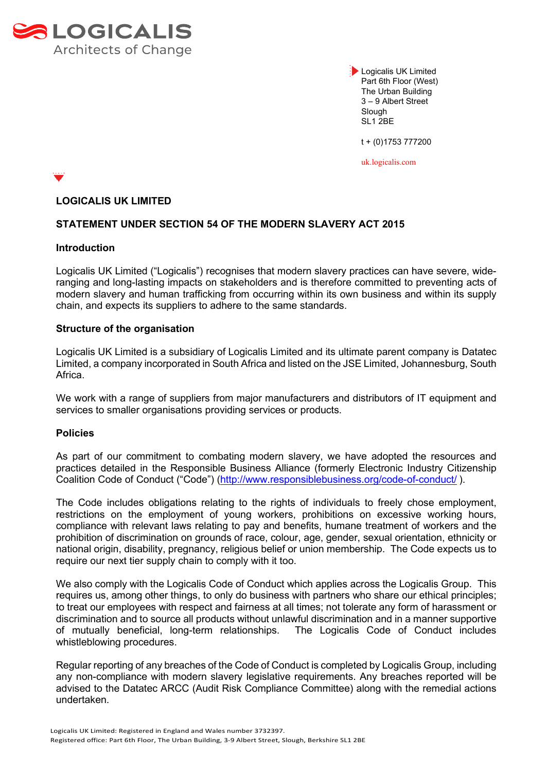

**Logicalis UK Limited** Part 6th Floor (West) The Urban Building 3 – 9 Albert Street **Slough** SL1 2BE

t + (0)1753 777200

uk.logicalis.com

# **LOGICALIS UK LIMITED**

## **STATEMENT UNDER SECTION 54 OF THE MODERN SLAVERY ACT 2015**

#### **Introduction**

Logicalis UK Limited ("Logicalis") recognises that modern slavery practices can have severe, wideranging and long-lasting impacts on stakeholders and is therefore committed to preventing acts of modern slavery and human trafficking from occurring within its own business and within its supply chain, and expects its suppliers to adhere to the same standards.

### **Structure of the organisation**

Logicalis UK Limited is a subsidiary of Logicalis Limited and its ultimate parent company is Datatec Limited, a company incorporated in South Africa and listed on the JSE Limited, Johannesburg, South Africa.

We work with a range of suppliers from major manufacturers and distributors of IT equipment and services to smaller organisations providing services or products.

### **Policies**

As part of our commitment to combating modern slavery, we have adopted the resources and practices detailed in the Responsible Business Alliance (formerly Electronic Industry Citizenship Coalition Code of Conduct ("Code") [\(http://www.responsiblebusiness.org/code-of-conduct/](http://www.responsiblebusiness.org/code-of-conduct/) ).

The Code includes obligations relating to the rights of individuals to freely chose employment, restrictions on the employment of young workers, prohibitions on excessive working hours, compliance with relevant laws relating to pay and benefits, humane treatment of workers and the prohibition of discrimination on grounds of race, colour, age, gender, sexual orientation, ethnicity or national origin, disability, pregnancy, religious belief or union membership. The Code expects us to require our next tier supply chain to comply with it too.

We also comply with the Logicalis Code of Conduct which applies across the Logicalis Group. This requires us, among other things, to only do business with partners who share our ethical principles; to treat our employees with respect and fairness at all times; not tolerate any form of harassment or discrimination and to source all products without unlawful discrimination and in a manner supportive of mutually beneficial, long-term relationships. The Logicalis Code of Conduct includes whistleblowing procedures.

Regular reporting of any breaches of the Code of Conduct is completed by Logicalis Group, including any non-compliance with modern slavery legislative requirements. Any breaches reported will be advised to the Datatec ARCC (Audit Risk Compliance Committee) along with the remedial actions undertaken.